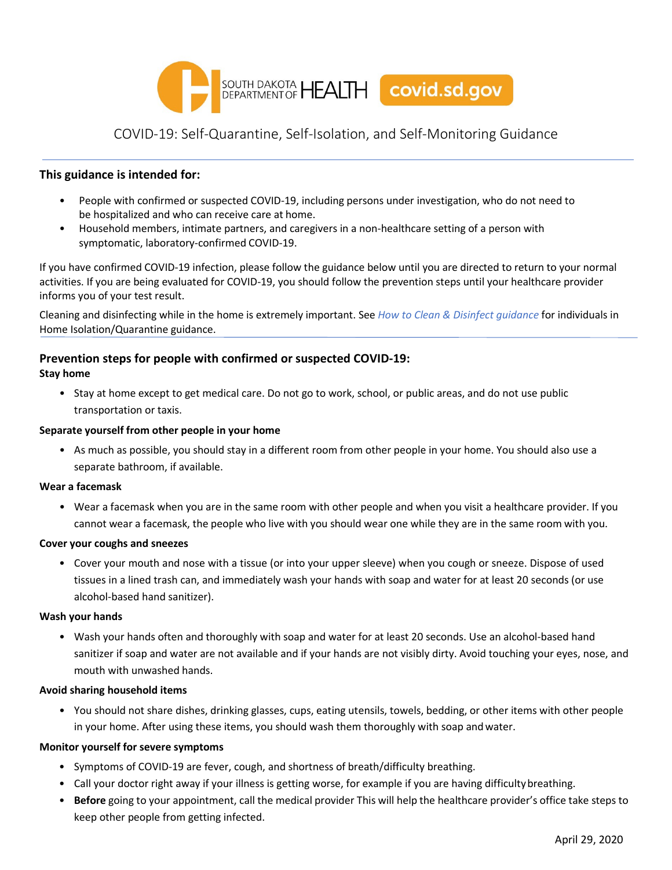

# COVID-19: Self-Quarantine, Self-Isolation, and Self-Monitoring Guidance

### **This guidance is intended for:**

- People with confirmed or suspected COVID-19, including persons under investigation, who do not need to be hospitalized and who can receive care at home.
- Household members, intimate partners, and caregivers in a non-healthcare setting of a person with symptomatic, laboratory-confirmed COVID-19.

If you have confirmed COVID-19 infection, please follow the guidance below until you are directed to return to your normal activities. If you are being evaluated for COVID-19, you should follow the prevention steps until your healthcare provider informs you of your test result.

Cleaning and disinfecting while in the home is extremely important. See *How to Clean & Disinfect guidance* for individuals in Home Isolation/Quarantine guidance.

# **Prevention steps for people with confirmed or suspected COVID-19:**

#### **Stay home**

• Stay at home except to get medical care. Do not go to work, school, or public areas, and do not use public transportation or taxis.

#### **Separate yourself from other people in your home**

• As much as possible, you should stay in a different room from other people in your home. You should also use a separate bathroom, if available.

#### **Wear a facemask**

• Wear a facemask when you are in the same room with other people and when you visit a healthcare provider. If you cannot wear a facemask, the people who live with you should wear one while they are in the same room with you.

#### **Cover your coughs and sneezes**

• Cover your mouth and nose with a tissue (or into your upper sleeve) when you cough or sneeze. Dispose of used tissues in a lined trash can, and immediately wash your hands with soap and water for at least 20 seconds (or use alcohol-based hand sanitizer).

#### **Wash your hands**

• Wash your hands often and thoroughly with soap and water for at least 20 seconds. Use an alcohol-based hand sanitizer if soap and water are not available and if your hands are not visibly dirty. Avoid touching your eyes, nose, and mouth with unwashed hands.

#### **Avoid sharing household items**

• You should not share dishes, drinking glasses, cups, eating utensils, towels, bedding, or other items with other people in your home. After using these items, you should wash them thoroughly with soap andwater.

#### **Monitor yourself for severe symptoms**

- Symptoms of COVID-19 are fever, cough, and shortness of breath/difficulty breathing.
- Call your doctor right away if your illness is getting worse, for example if you are having difficultybreathing.
- **Before** going to your appointment, call the medical provider This will help the healthcare provider's office take steps to keep other people from getting infected.